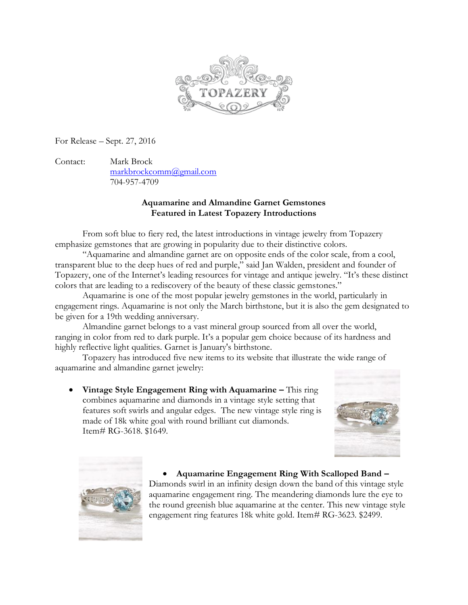

For Release – Sept. 27, 2016

Contact: Mark Brock [markbrockcomm@gmail.com](mailto:markbrockcomm@gmail.com) 704-957-4709

## **Aquamarine and Almandine Garnet Gemstones Featured in Latest Topazery Introductions**

From soft blue to fiery red, the latest introductions in vintage jewelry from Topazery emphasize gemstones that are growing in popularity due to their distinctive colors.

"Aquamarine and almandine garnet are on opposite ends of the color scale, from a cool, transparent blue to the deep hues of red and purple," said Jan Walden, president and founder of Topazery, one of the Internet's leading resources for vintage and antique jewelry. "It's these distinct colors that are leading to a rediscovery of the beauty of these classic gemstones."

Aquamarine is one of the most popular jewelry gemstones in the world, particularly in engagement rings. Aquamarine is not only the March birthstone, but it is also the gem [designated to](http://www.gia.edu/aquamarine)  [be given](http://www.gia.edu/aquamarine) for a 19th wedding anniversary.

Almandine garnet belongs to a vast mineral group sourced from all over the world, ranging in color from red to dark purple. It's a popular gem choice because of its hardness and highly reflective light qualities. Garnet is January's [birthstone.](http://www.gemselect.com/gem-info/birthstones.php)

Topazery has introduced five new items to its website that illustrate the wide range of aquamarine and almandine garnet jewelry:

 **Vintage Style Engagement Ring with Aquamarine –** This ring combines aquamarine and diamonds in a vintage style setting that features soft swirls and angular edges. The new vintage style ring is made of 18k white goal with round brilliant cut diamonds. Item# RG-3618. \$1649.





 **Aquamarine Engagement Ring With Scalloped Band –** Diamonds swirl in an infinity design down the band of this vintage style aquamarine engagement ring. The meandering diamonds lure the eye to the round greenish blue aquamarine at the center. This new vintage style engagement ring features 18k white gold. Item# RG-3623. \$2499.